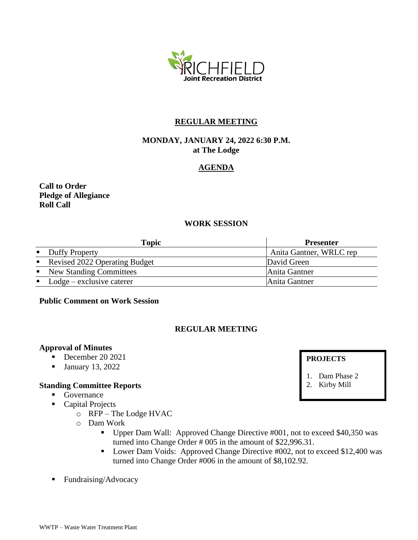

# **REGULAR MEETING**

# **MONDAY, JANUARY 24, 2022 6:30 P.M. at The Lodge**

# **AGENDA**

# **Call to Order Pledge of Allegiance Roll Call**

# **WORK SESSION**

| <b>Topic</b>                             | <b>Presenter</b>        |
|------------------------------------------|-------------------------|
| • Duffy Property                         | Anita Gantner, WRLC rep |
| Revised 2022 Operating Budget            | David Green             |
| • New Standing Committees                | Anita Gantner           |
| $\blacksquare$ Lodge – exclusive caterer | Anita Gantner           |

### **Public Comment on Work Session**

### **REGULAR MEETING**

#### **Approval of Minutes**

- December 20 2021
- **•** January 13, 2022

#### **Standing Committee Reports**

- Governance
- Capital Projects
	- o RFP The Lodge HVAC
	- o Dam Work
		- Upper Dam Wall: Approved Change Directive #001, not to exceed \$40,350 was turned into Change Order # 005 in the amount of \$22,996.31.
		- Lower Dam Voids: Approved Change Directive #002, not to exceed \$12,400 was turned into Change Order #006 in the amount of \$8,102.92.
- Fundraising/Advocacy

#### **PROJECTS**

- 1. Dam Phase 2
- 2. Kirby Mill